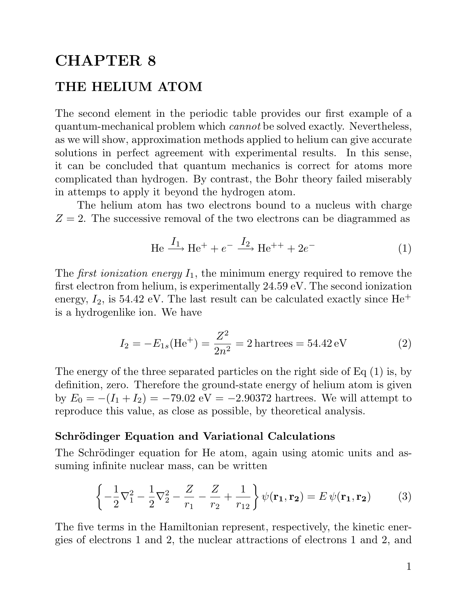## CHAPTER 8 THE HELIUM ATOM

THE HELIUM ATOM<br>The second element in the periodic table provides our first example of a<br>quantum mechanical problem which cannot be selved evently. Nevertheless The second element in the periodic table provides our first example of a quantum-mechanical problem which *cannot* be solved exactly. Nevertheless, The second element in the periodic table provides our first example of a quantum-mechanical problem which *cannot* be solved exactly. Nevertheless, as we will show, approximation methods applied to helium can give accurate quantum-mechanical problem which *cannot* be solved exactly. Nevertheless,<br>as we will show, approximation methods applied to helium can give accurate<br>solutions in perfect agreement with experimental results. In this sense, solutions in perfect agreement with experimental results. In this sense, it can be concluded that quantum mechanics is correct for atoms more solutions in perfect agreement with experimental results. In this sense,<br>it can be concluded that quantum mechanics is correct for atoms more<br>complicated than hydrogen. By contrast, the Bohr theory failed miserably<br>in atte it can be concluded that quantum mechanics is complicated than hydrogen. By contrast, the Bohr t<br>in attemps to apply it beyond the hydrogen atom.<br>The helium atom has two electrons hound to plicated than hydrogen. By contrast, the Bohr theory failed miserably<br>temps to apply it beyond the hydrogen atom.<br>The helium atom has two electrons bound to a nucleus with charge<br>2. The guagesive removal of the two electro

in attemps to apply it beyond the hydrogen atom.<br>The helium atom has two electrons bound to a nucleus with charge  $Z = 2$ . The successive removal of the two electrons can be diagrammed as

We removal of the two electrons can be diagrammed as  
He 
$$
\xrightarrow{I_1}
$$
 He<sup>+</sup> +  $e^ \xrightarrow{I_2}$  He<sup>++</sup> +  $2e^-$  (1)

The first ionization energy  $I_1$ , the minimum energy required to remove the<br>first electron from belium is experimentally 24.50 eV. The second ionization The *first ionization energy*  $I_1$ , the minimum energy required to remove the first electron from helium, is experimentally 24.59 eV. The second ionization energy  $I_1$  is 54.42 eV. The lect require an be experimentally The *first ionization energy*  $I_1$ , the minimum energy required to remove the first electron from helium, is experimentally 24.59 eV. The second ionization energy,  $I_2$ , is 54.42 eV. The last result can be calculated ex first electron from helium, is exper<br>energy,  $I_2$ , is 54.42 eV. The last re<br>is a hydrogenlike ion. We have

$$
I_2 = -E_{1s}(\text{He}^+) = \frac{Z^2}{2n^2} = 2 \text{ hartrees} = 54.42 \text{ eV}
$$
 (2)

 $I_2 = -E_{1s}(\text{He}^+) = \frac{1}{2n^2} = 2 \text{ hartrees} = 54.42 \text{ eV}$  (2)<br>The energy of the three separated particles on the right side of Eq (1) is, by<br>definition zero. Therefore the ground state energy of belium atom is given The energy of the three separated particles on the right side of Eq (1) is, by definition, zero. Therefore the ground-state energy of helium atom is given by  $F = (I + I) = 70.02 \text{ eV} = -2.00272 \text{ hortree}$ . We will attempt to The energy of the three separated particles on the right side of Eq (1) is, by<br>definition, zero. Therefore the ground-state energy of helium atom is given<br>by  $E_0 = -(I_1 + I_2) = -79.02$  eV =  $-2.90372$  hartrees. We will attemp definition, zero. Therefore the ground-state energy of helium atom<br>by  $E_0 = -(I_1 + I_2) = -79.02$  eV =  $-2.90372$  hartrees. We will att<br>reproduce this value, as close as possible, by theoretical analysis. reproduce this value, as close as possible, by theoretical analysis.<br>Schrödinger Equation and Variational Calculations

Schrödinger Equation and Variational Calculations<br>The Schrödinger equation for He atom, again using atomic units and as-Schrodinger Equation and Variational Cal<br>The Schrödinger equation for He atom, again u<br>suming infinite nuclear mass, can be written

mimize nuclear mass, can be written  
\n
$$
\left\{-\frac{1}{2}\nabla_1^2 - \frac{1}{2}\nabla_2^2 - \frac{Z}{r_1} - \frac{Z}{r_2} + \frac{1}{r_{12}}\right\}\psi(\mathbf{r_1}, \mathbf{r_2}) = E\psi(\mathbf{r_1}, \mathbf{r_2})
$$
\n(3)

The five terms in the Hamiltonian represent, respectively, the kinetic energies of electrons 1 and 2, the nuclear attractions of electrons 1 and 2, and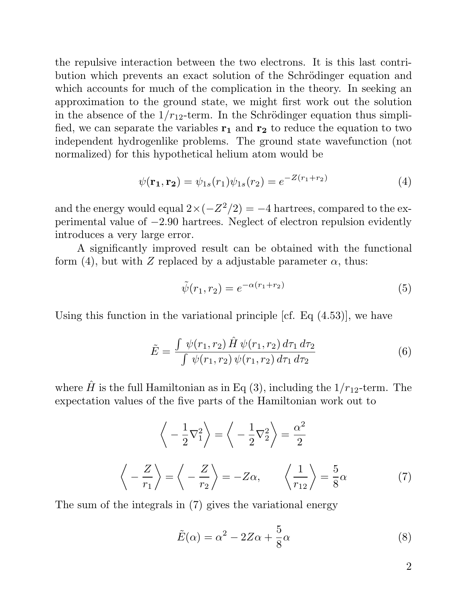the repulsive interaction between the two electrons. It is this last contri-<br>hytion which provents an event solution of the Schrödinger equation and the repulsive interaction between the two electrons. It is this last contri-<br>bution which prevents an exact solution of the Schrödinger equation and<br>which accounts for much of the complication in the theory. In socking on bution which prevents an exact solution of the Schrödinger equation and which accounts for much of the complication in the theory. In seeking an bution which prevents an exact solution of the Schrödinger equation and<br>which accounts for much of the complication in the theory. In seeking an<br>approximation to the ground state, we might first work out the solution<br>in t which accounts for much of the complication in the theory. In seeking an approximation to the ground state, we might first work out the solution in the absence of the  $1/r_{12}$ -term. In the Schrödinger equation thus simpli in the absence of the  $1/r_{12}$ -term. In the Schrödinger equation thus simplified, we can separate the variables  $\mathbf{r}_1$  and  $\mathbf{r}_2$  to reduce the equation to two independent hydrogenlike problems. The ground state wav in the absence of the  $1/r_{12}$ -term. In the Schrödinger equation thus simplified, we can separate the variables  $\mathbf{r}_1$  and  $\mathbf{r}_2$  to reduce the equation to two independent hydrogenlike problems. The ground state wav fied, we can separate the variables  $\mathbf{r}_1$  and  $\mathbf{r}_2$  to reduce the eindependent hydrogenlike problems. The ground state was normalized) for this hypothetical helium atom would be normalized) for this hypothetical helium atom would be

$$
\psi(\mathbf{r_1}, \mathbf{r_2}) = \psi_{1s}(r_1)\psi_{1s}(r_2) = e^{-Z(r_1 + r_2)}\tag{4}
$$

 $\psi(\mathbf{r_1}, \mathbf{r_2}) = \psi_{1s}(r_1)\psi_{1s}(r_2) = e^{-\mathcal{L}(r_1 + r_2)}$  (4)<br>and the energy would equal  $2 \times (-Z^2/2) = -4$  hartrees, compared to the ex-<br>perimental value of -2.00 hartrees. Neglect of electron repulsion evidently and the energy would equal  $2 \times (-Z^2/2) = -4$  hartrees, compared to the experimental value of  $-2.90$  hartrees. Neglect of electron repulsion evidently introduces a year large energy and the energy would equal  $2 \times$ <br>perimental value of  $-2.90$  hart:<br>introduces a very large error. mental value of  $-2.90$  hartrees. Neglect of electron repulsion evidently<br>duces a very large error.<br>A significantly improved result can be obtained with the functional<br> $(4)$  but with  $Z$  replaced by a adjustable parameter

introduces a very large error.<br>A significantly improved result can be obtained with the furtorm (4), but with Z replaced by a adjustable parameter  $\alpha$ , thus:

ced by a adjustable parameter 
$$
\alpha
$$
, thus:  
\n
$$
\tilde{\psi}(r_1, r_2) = e^{-\alpha(r_1 + r_2)}
$$
\n(5)

 $\psi(r_1, r_2) = e^{-\alpha(r_1 + r_2)}$  (5)<br>Using this function in the variational principle [cf. Eq (4.53)], we have

in the variational principle [ct. Eq (4.53)], we have  
\n
$$
\tilde{E} = \frac{\int \psi(r_1, r_2) \hat{H} \psi(r_1, r_2) d\tau_1 d\tau_2}{\int \psi(r_1, r_2) \psi(r_1, r_2) d\tau_1 d\tau_2}
$$
\n(6)

 $\int \psi(r_1, r_2) \psi(r_1, r_2) d\tau_1 d\tau_2$ <br>where  $\hat{H}$  is the full Hamiltonian as in Eq (3), including the  $1/r_{12}$ -term. The<br>expectation values of the five parts of the Hamiltonian work out to where  $\hat{H}$  is the full Hamiltonian as in Eq (3), including the  $1/r_{12}$ -term.<br>expectation values of the five parts of the Hamiltonian work out to

$$
\left\langle -\frac{1}{2}\nabla_1^2 \right\rangle = \left\langle -\frac{1}{2}\nabla_2^2 \right\rangle = \frac{\alpha^2}{2}
$$
  

$$
\left\langle -\frac{Z}{r_1} \right\rangle = \left\langle -\frac{Z}{r_2} \right\rangle = -Z\alpha, \qquad \left\langle \frac{1}{r_{12}} \right\rangle = \frac{5}{8}\alpha \tag{7}
$$
  
The sum of the integrals in (7) gives the variational energy

$$
\tilde{E}(\alpha) = \alpha^2 - 2Z\alpha + \frac{5}{8}\alpha
$$
\n(8)

2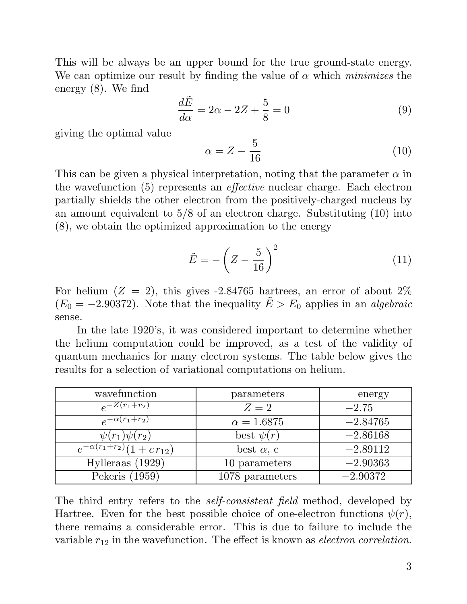This will be always be an upper bound for the true ground-state energy.<br>We see entimize our result by finding the value of a which minimizes the This will be always be an upper bound for the true ground-state energy.<br>We can optimize our result by finding the value of  $\alpha$  which minimizes the We can optimize our result by finding the value of  $\alpha$  which *minimizes* the energy (8). We find

$$
\frac{d\tilde{E}}{d\alpha} = 2\alpha - 2Z + \frac{5}{8} = 0
$$
\n(9)

giving the optimal value

$$
\alpha = Z - \frac{5}{16} \tag{10}
$$

This can be given a physical interpretation, noting that the parameter  $\alpha$  in This can be given a physical interpretation, noting that the parameter  $\alpha$  in<br>the wavefunction (5) represents an *effective* nuclear charge. Each electron<br>partially shidds the other electron from the positively shared pu This can be given a physical interpretation, noting that the parameter  $\alpha$  in the wavefunction (5) represents an *effective* nuclear charge. Each electron partially shields the other electron from the positively-charged the wavefunction (5) represents an *effective* nuclear charge. Each electron partially shields the other electron from the positively-charged nucleus by an amount equivalent to  $5/8$  of an electron charge. Substituting (1 partially shields the other electron from the positively-charge<br>an amount equivalent to  $5/8$  of an electron charge. Substitut<br>(8), we obtain the optimized approximation to the energy

$$
\tilde{E} = -\left(Z - \frac{5}{16}\right)^2\tag{11}
$$

For helium  $(Z = 2)$ , this gives -2.84765 hartrees, an error of about 2% For helium  $(Z = 2)$ , this gives -2.84765 hartrees, an error of about 2%  $(E_0 = -2.90372)$ . Note that the inequality  $\tilde{E} > E_0$  applies in an *algebraic* sense.  $I_1 = -2.90372$ . Note that the inequality  $E > E_0$  applies in an *algebraic*<br>
In the late 1920's, it was considered important to determine whether<br>
holium computation could be improved as a test of the validity of

In the late 1920's, it was considered important to determine whether<br>the helium computation could be improved, as a test of the validity of In the late 1920's, it was considered important to determine whether<br>the helium computation could be improved, as a test of the validity of<br>quantum mechanics for many electron systems. The table below gives the<br>results for the helium computation could be improved, as a test of the quantum mechanics for many electron systems. The table belonesults for a selection of variational computations on helium.

| wavefunction                      | parameters        | energy     |
|-----------------------------------|-------------------|------------|
| $e^{-Z(r_1+r_2)}$                 | $Z=2$             | $-2.75$    |
| $e^{-\alpha(r_1+r_2)}$            | $\alpha = 1.6875$ | $-2.84765$ |
| $\psi(r_1)\psi(r_2)$              | best $\psi(r)$    | $-2.86168$ |
| $e^{-\alpha(r_1+r_2)}(1+cr_{12})$ | best $\alpha$ , c | $-2.89112$ |
| Hylleraas $(1929)$                | 10 parameters     | $-2.90363$ |
| Pekeris (1959)                    | 1078 parameters   | $-2.90372$ |
|                                   |                   |            |

Pekeris (1959) 1078 parameters  $-2.90372$ <br>The third entry refers to the *self-consistent field* method, developed by<br>Hartroe, Even for the best pessible choice of ane electron functions  $v(x)$ The third entry refers to the *self-consistent field* method, developed by Hartree. Even for the best possible choice of one-electron functions  $\psi(r)$ , there remains a considerable entry. This is due to failure to include The third entry refers to the *self-consistent field* method, developed by Hartree. Even for the best possible choice of one-electron functions  $\psi(r)$ , there remains a considerable error. This is due to failure to include Hartree. Even for the best possible choice of one-electron functions  $\psi(r)$ , there remains a considerable error. This is due to failure to include the variable  $r_{12}$  in the wavefunction. The effect is known as *electron*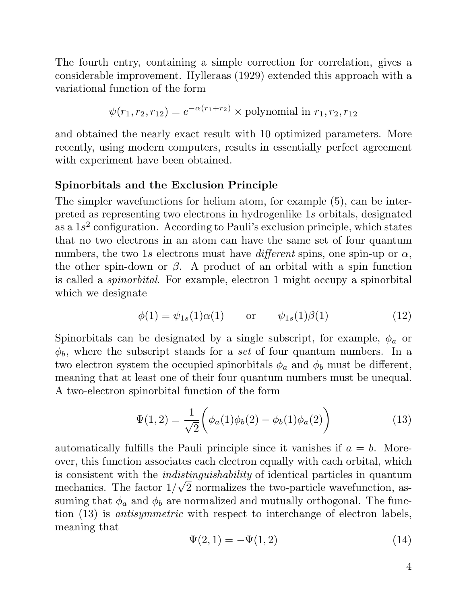The fourth entry, containing a simple correction for correlation, gives a The fourth entry, containing a simple correction for correlation, gives a considerable improvement. Hylleraas (1929) extended this approach with a verticional function of the form The fourth entry, containing a simp<br>considerable improvement. Hylleraas<br>variational function of the form function of the form<br>  $\psi(r_1, r_2, r_{12}) = e^{-\alpha(r_1+r_2)} \times$  polynomial in  $r_1, r_2, r_{12}$ 

$$
\psi(r_1, r_2, r_{12}) = e^{-\alpha(r_1 + r_2)} \times
$$
 polynomial in  $r_1, r_2, r_{12}$ 

 $\psi(r_1, r_2, r_{12}) = e^{-\alpha(r_1+r_2)} \times$  polynomial in  $r_1, r_2, r_{12}$ <br>and obtained the nearly exact result with 10 optimized parameters. More and obtained the nearly exact result with 10 optimized parameters. More<br>recently, using modern computers, results in essentially perfect agreement and obtained the nearly exact result w<br>recently, using modern computers, resu<br>with experiment have been obtained. with experiment have been obtained.<br>Spinorbitals and the Exclusion Principle

The simpler wavefunctions for helium atom, for example (5), can be interpreted as representing two electrons in hydrogenlike 1<sup>s</sup> orbitals, designated The simpler wavefunctions for helium atom, for example  $(5)$ , can be interpreted as representing two electrons in hydrogenlike 1s orbitals, designated as a  $1s^2$  configuration. According to Pauli's exclusion principle, w preted as representing two electrons in hydrogenlike 1s orbitals, designated<br>as a  $1s^2$  configuration. According to Pauli's exclusion principle, which states<br>that no two electrons in an atom can have the same set of four that no two electrons in an atom can have the same set of four quantum numbers, the two 1s electrons must have different spins, one spin-up or  $\alpha$ , that no two electrons in an atom can have the same set of four quantum<br>numbers, the two 1s electrons must have *different* spins, one spin-up or  $\alpha$ ,<br>the other spin-down or  $\beta$ . A product of an orbital with a spin funct numbers, the two 1s electrons must have *different* spins, one spin-up or  $\alpha$ , the other spin-down or  $\beta$ . A product of an orbital with a spin function is called a *spinorbital*. For example, electron 1 might occupy a s is called a *spinorbital*. For example, electron 1 might occupy a spinorbital which we designate te<br>  $\phi(1) = \psi_{1s}(1)\alpha(1)$  or  $\psi_{1s}(1)\beta(1)$  (12)

$$
\phi(1) = \psi_{1s}(1)\alpha(1) \qquad \text{or} \qquad \psi_{1s}(1)\beta(1) \tag{12}
$$

 $\phi(1) = \psi_{1s}(1)\alpha(1)$  or  $\psi_{1s}(1)\beta(1)$  (12)<br>Spinorbitals can be designated by a single subscript, for example,  $\phi_a$  or Spinorbitals can be designated by a single subscript, for example,  $\phi_a$  or  $\phi_b$ , where the subscript stands for a set of four quantum numbers. In a two electron system the ecoupled principlitate  $\phi_a$  and  $\phi$  must be d Spinorbitals can be designated by a single subscript, for example,  $\phi_a$  or  $\phi_b$ , where the subscript stands for a set of four quantum numbers. In a two electron system the occupied spinorbitals  $\phi_a$  and  $\phi_b$  must be d  $\phi_b$ , where the subscript stands for a set of four quantum numbers. In a two electron system the occupied spinorbitals  $\phi_a$  and  $\phi_b$  must be different, meaning that at least one of their four quantum numbers must be un two electron system the occupied spinorbitals  $\phi_a$  and<br>meaning that at least one of their four quantum num<br>A two-electron spinorbital function of the form A two-electron spinorbital function of the form

$$
\Psi(1,2) = \frac{1}{\sqrt{2}} \left( \phi_a(1)\phi_b(2) - \phi_b(1)\phi_a(2) \right)
$$
 (13)

automatically fulfills the Pauli principle since it vanishes if  $a = b$ . Moreover, this function associates each electron equally with each orbital, which is consistent with the indistinguishability of identical particles in quantum over, this function associates each electron equally with each orbital, which<br>is consistent with the *indistinguishability* of identical particles in quantum<br>mechanics. The factor  $1/\sqrt{2}$  normalized and mutually orthogon is consistent with the *indistinguishability* of identical particles in quantum<br>mechanics. The factor  $1/\sqrt{2}$  normalized and mutually orthogonal. The func-<br>suming that  $\phi_a$  and  $\phi_b$  are normalized and mutually orthogon suming that  $\phi_a$  and  $\phi_b$  are normalized and mutually orthogonal. The function (13) is *antisymmetric* with respect to interchange of electron labels, meaning that suming that  $\phi_a$ <br>tion (13) is *ant*<br>meaning that with respect to interchange of electron labels,<br>  $\Psi(2, 1) = -\Psi(1, 2)$  (14)

$$
\Psi(2,1) = -\Psi(1,2) \tag{14}
$$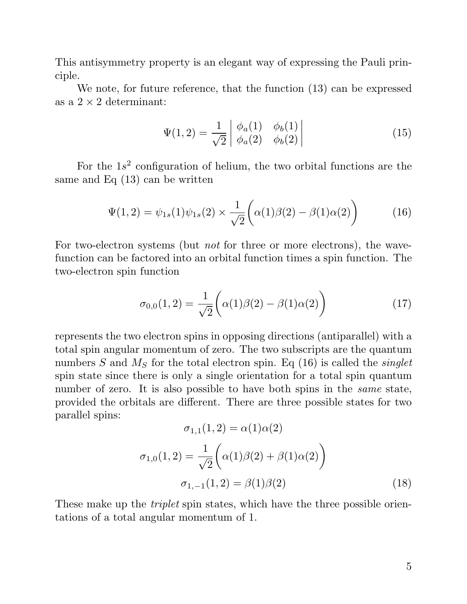This antisymmetry property is an elegant way of expressing the Pauli principle. antisymmetry property is an elegant way of expressing the Pauli prin-<br>We note, for future reference, that the function (13) can be expressed<br> $2 \times 2$  determinant:

ciple.<br>We note, for future  $a$  as  $a$   $2 \times 2$  determinant:

$$
\Psi(1,2) = \frac{1}{\sqrt{2}} \begin{vmatrix} \phi_a(1) & \phi_b(1) \\ \phi_a(2) & \phi_b(2) \end{vmatrix}
$$
\n(15)

For the 1s<sup>2</sup> configuration of helium, the two orbital functions are the<br>resolution of helium, the two orbital functions are the For the  $1s^2$  configuration of helisticans and Eq (13) can be written

$$
\Psi(1,2) = \psi_{1s}(1)\psi_{1s}(2) \times \frac{1}{\sqrt{2}} \left(\alpha(1)\beta(2) - \beta(1)\alpha(2)\right) \tag{16}
$$

For two-electron systems (but not for three or more electrons), the wave-For two-electron systems (but *not* for three or more electrons), the wave-<br>function can be factored into an orbital function times a spin function. The For two-electron systems (but<br>function can be factored into a<br>two-electron spin function

$$
\sigma_{0,0}(1,2) = \frac{1}{\sqrt{2}} \left( \alpha(1)\beta(2) - \beta(1)\alpha(2) \right)
$$
 (17)

represents the two electron spins in opposing directions (antiparallel) with a total spin angular momentum of zero. The two subscripts are the quantum<br>total spin angular momentum of zero. The two subscripts are the quantum<br>numbers  $S$  and  $M$  for the total electron spin.  $F_{\alpha}$  (16) is called the s represents the two electron spins in opposing directions (antiparallel) with a total spin angular momentum of zero. The two subscripts are the quantum numbers  $S$  and  $M_S$  for the total electron spin. Eq (16) is called th numbers  $S$  and  $M_S$  for the total electron spin. Eq (16) is called the *singlet* spin state since there is only a single orientation for a total spin quantum number of zero. It is also possible to have both spins in the spin state since there is only a single orientation for a total spin quantum spin state since there is only a single orientation for a total spin quantum<br>number of zero. It is also possible to have both spins in the *same* state,<br>provided the orbitals are different. There are three possible states number of zero.<br>provided the or<br>parallel spins: ifferent. There are thre<br>  $\sigma_{1,1}(1,2) = \alpha(1)\alpha(2)$ 

$$
\sigma_{1,1}(1,2) = \alpha(1)\alpha(2)
$$

$$
\sigma_{1,0}(1,2) = \frac{1}{\sqrt{2}} \left( \alpha(1)\beta(2) + \beta(1)\alpha(2) \right)
$$

$$
\sigma_{1,-1}(1,2) = \beta(1)\beta(2)
$$
(18)

 $\sigma_{1,-1}(1,2) = \beta(1)\beta(2)$  (18)<br>These make up the *triplet* spin states, which have the three possible orien-These make up the *triplet* spin states, which h<br>tations of a total angular momentum of 1.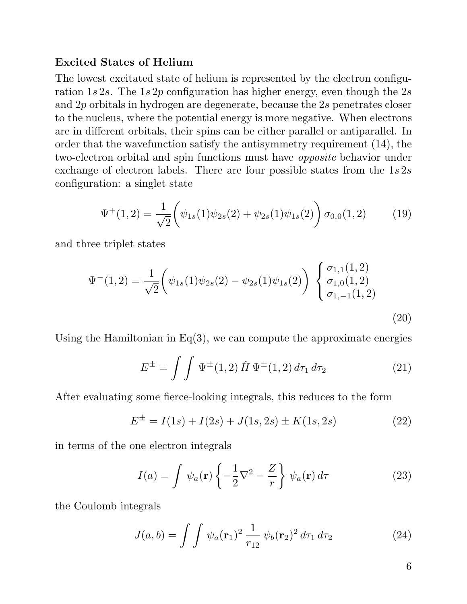## Excited States of Helium

Excited States of Helium<br>The lowest excitated state of helium is represented by the electron configu-<br>ration 1020. The 1020 configuration has higher energy even though the 20 **Excited States of Helium**<br>The lowest excitated state of helium is represented by the electron configuration  $1s 2s$ . The  $1s 2p$  configuration has higher energy, even though the  $2s$ <br>and  $2p$  exhibitels in hydrogen are d ration 1s 2s. The 1s 2p configuration has higher energy, even though the 2s and 2p orbitals in hydrogen are degenerate, because the 2s penetrates closer to the nucleus, where the potential energy is more negative. When electrons and 2p orbitals in hydrogen are degenerate, because the 2s penetrates closer<br>to the nucleus, where the potential energy is more negative. When electrons<br>are in different orbitals, their spins can be either parallel or ant to the nucleus, where the potential energy is more negative. When electrons<br>are in different orbitals, their spins can be either parallel or antiparallel. In<br>order that the wavefunction satisfy the antisymmetry requirement order that the wavefunction satisfy the antisymmetry requirement  $(14)$ , the two-electron orbital and spin functions must have *opposite* behavior under exchange of electron labels. There are four possible states from the  $1s2s$ configuration: a singlet state

$$
\Psi^{+}(1,2) = \frac{1}{\sqrt{2}} \left( \psi_{1s}(1)\psi_{2s}(2) + \psi_{2s}(1)\psi_{1s}(2) \right) \sigma_{0,0}(1,2) \tag{19}
$$

and three triplet states

$$
\Psi^{-}(1,2) = \frac{1}{\sqrt{2}} \left( \psi_{1s}(1)\psi_{2s}(2) - \psi_{2s}(1)\psi_{1s}(2) \right) \begin{Bmatrix} \sigma_{1,1}(1,2) \\ \sigma_{1,0}(1,2) \\ \sigma_{1,-1}(1,2) \end{Bmatrix}
$$
\n(20)

Using the Hamiltonian in  $Eq(3)$ , we can compute the approximate energies

$$
E^{\pm} = \int \int \Psi^{\pm}(1,2) \hat{H} \Psi^{\pm}(1,2) d\tau_1 d\tau_2
$$
 (21)  
After evaluating some fierce-looking integrals, this reduces to the form

g some force-looking integrals, this reduces to the form  
\n
$$
E^{\pm} = I(1s) + I(2s) + J(1s, 2s) \pm K(1s, 2s)
$$
\n(22)

in terms of the one electron integrals

The electron integrals  

$$
I(a) = \int \psi_a(\mathbf{r}) \left\{ -\frac{1}{2} \nabla^2 - \frac{Z}{r} \right\} \psi_a(\mathbf{r}) d\tau
$$
(23)

the Coulomb integrals

egras  

$$
J(a,b) = \int \int \psi_a(\mathbf{r}_1)^2 \frac{1}{r_{12}} \psi_b(\mathbf{r}_2)^2 d\tau_1 d\tau_2
$$
 (24)

6